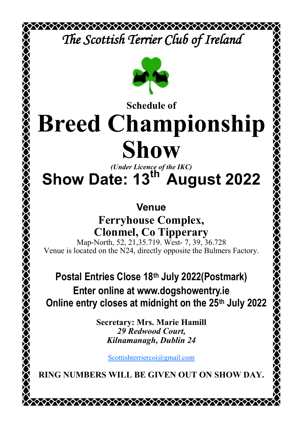*The Scottish Terrier Club of Ireland* 



## **Schedule of Breed Championship Show**

*(Under Licence of the IKC)*

# **Show Date: 13th August 2022**

### **Venue**

**Ferryhouse Complex, Clonmel, Co Tipperary**

Map-North, 52, 21, 35.719. West- 7, 39, 36.728 Venue is located on the N24, directly opposite the Bulmers Factory.

## **Postal Entries Close 18th July 2022(Postmark) Enter online at www.dogshowentry.ie Online entry closes at midnight on the 25th July 2022**

**Secretary: Mrs. Marie Hamill** *29 Redwood Court, Kilnamanagh, Dublin 24*

[Scottishterriercoi@gmail.com](mailto:Scottishterriercoi@gmail.com)

**RING NUMBERS WILL BE GIVEN OUT ON SHOW DAY.**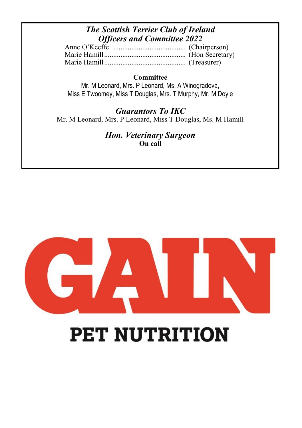### *The Scottish Terrier Club of Ireland Officers and Committee 2022*

#### **Committee**

Mr. M Leonard, Mrs. P Leonard, Ms. A Winogradova, Miss E Twoomey, Miss T Douglas, Mrs. T Murphy, Mr. M Doyle

*Guarantors To IKC* Mr. M Leonard, Mrs. P Leonard, Miss T Douglas, Ms. M Hamill

> *Hon. Veterinary Surgeon* **On call**



# **PET NUTRITION**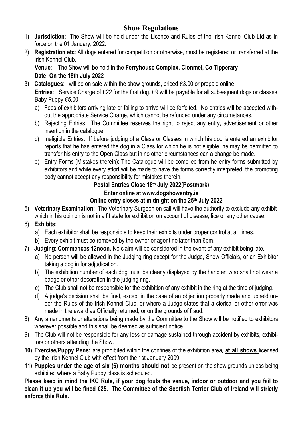#### **Show Regulations**

- 1) **Jurisdiction**: The Show will be held under the Licence and Rules of the Irish Kennel Club Ltd as in force on the 01 January, 2022.
- 2) **Registration etc**: All dogs entered for competition or otherwise, must be registered or transferred at the Irish Kennel Club.

**Venue**: The Show will be held in the **Ferryhouse Complex, Clonmel, Co Tipperary Date: On the 18th July 2022**

- 3) **Catalogues**: will be on sale within the show grounds, priced €3.00 or prepaid online **Entries**: Service Charge of €22 for the first dog. €9 will be payable for all subsequent dogs or classes. Baby Puppy €5.00
	- a) Fees of exhibitors arriving late or failing to arrive will be forfeited. No entries will be accepted without the appropriate Service Charge, which cannot be refunded under any circumstances.
	- b) Rejecting Entries: The Committee reserves the right to reject any entry, advertisement or other insertion in the catalogue.
	- c) Ineligible Entries: If before judging of a Class or Classes in which his dog is entered an exhibitor reports that he has entered the dog in a Class for which he is not eligible, he may be permitted to transfer his entry to the Open Class but in no other circumstances can a change be made.
	- d) Entry Forms (Mistakes therein): The Catalogue will be compiled from he entry forms submitted by exhibitors and while every effort will be made to have the forms correctly interpreted, the promoting body cannot accept any responsibility for mistakes therein.

#### **Postal Entries Close 18th July 2022(Postmark) Enter online at www.dogshowentry.ie Online entry closes at midnight on the 25th July 2022**

- 5) **Veterinary Examination**: The Veterinary Surgeon on call will have the authority to exclude any exhibit which in his opinion is not in a fit state for exhibition on account of disease, lice or any other cause.
- 6) **Exhibits**:
	- a) Each exhibitor shall be responsible to keep their exhibits under proper control at all times.
	- b) Every exhibit must be removed by the owner or agent no later than 6pm.
- 7) **Judging**: **Commences 12noon.** No claim will be considered in the event of any exhibit being late.
	- a) No person will be allowed in the Judging ring except for the Judge, Show Officials, or an Exhibitor taking a dog in for adjudication.
	- b) The exhibition number of each dog must be clearly displayed by the handler, who shall not wear a badge or other decoration in the judging ring.
	- c) The Club shall not be responsible for the exhibition of any exhibit in the ring at the time of judging.
	- d) A judge's decision shall be final, except in the case of an objection properly made and upheld under the Rules of the Irish Kennel Club, or where a Judge states that a clerical or other error was made in the award as Officially returned, or on the grounds of fraud.
- 8) Any amendments or alterations being made by the Committee to the Show will be notified to exhibitors wherever possible and this shall be deemed as sufficient notice.
- 9) The Club will not be responsible for any loss or damage sustained through accident by exhibits, exhibitors or others attending the Show.
- **10) Exercise/Puppy Pens:** are prohibited within the confines of the exhibition area**, at all shows** licensed by the Irish Kennel Club with effect from the 1st January 2009.
- **11) Puppies under the age of six (6) months should not** be present on the show grounds unless being exhibited where a Baby Puppy class is scheduled.

**Please keep in mind the IKC Rule, if your dog fouls the venue, indoor or outdoor and you fail to clean it up you will be fined €25. The Committee of the Scottish Terrier Club of Ireland will strictly enforce this Rule.**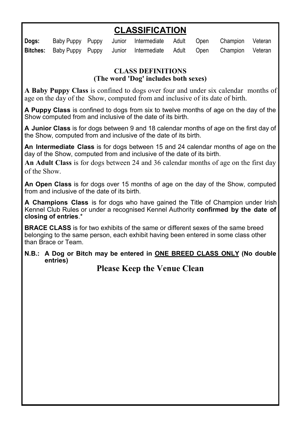### **CLASSIFICATION**

| Dogs: |  | Baby Puppy Puppy Junior Intermediate Adult Open Champion Veteran          |  |  |
|-------|--|---------------------------------------------------------------------------|--|--|
|       |  | Bitches: Baby Puppy Puppy Junior Intermediate Adult Open Champion Veteran |  |  |

#### **CLASS DEFINITIONS (The word 'Dog' includes both sexes)**

**A Baby Puppy Class** is confined to dogs over four and under six calendar months of age on the day of the Show, computed from and inclusive of its date of birth.

**A Puppy Class** is confined to dogs from six to twelve months of age on the day of the Show computed from and inclusive of the date of its birth.

**A Junior Class** is for dogs between 9 and 18 calendar months of age on the first day of the Show, computed from and inclusive of the date of its birth.

**An Intermediate Class** is for dogs between 15 and 24 calendar months of age on the day of the Show, computed from and inclusive of the date of its birth.

**An Adult Class** is for dogs between 24 and 36 calendar months of age on the first day of the Show.

**An Open Class** is for dogs over 15 months of age on the day of the Show, computed from and inclusive of the date of its birth.

**A Champions Class** is for dogs who have gained the Title of Champion under Irish Kennel Club Rules or under a recognised Kennel Authority **confirmed by the date of closing of entries**.\*

**BRACE CLASS** is for two exhibits of the same or different sexes of the same breed belonging to the same person, each exhibit having been entered in some class other than Brace or Team.

#### **N.B.: A Dog or Bitch may be entered in ONE BREED CLASS ONLY (No double entries)**

**Please Keep the Venue Clean**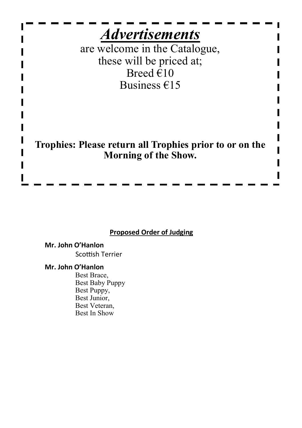

#### **Proposed Order of Judging**

#### **Mr. John O'Hanlon** Scottish Terrier

#### **Mr. John O'Hanlon**

Best Brace, Best Baby Puppy Best Puppy, Best Junior, Best Veteran, Best In Show